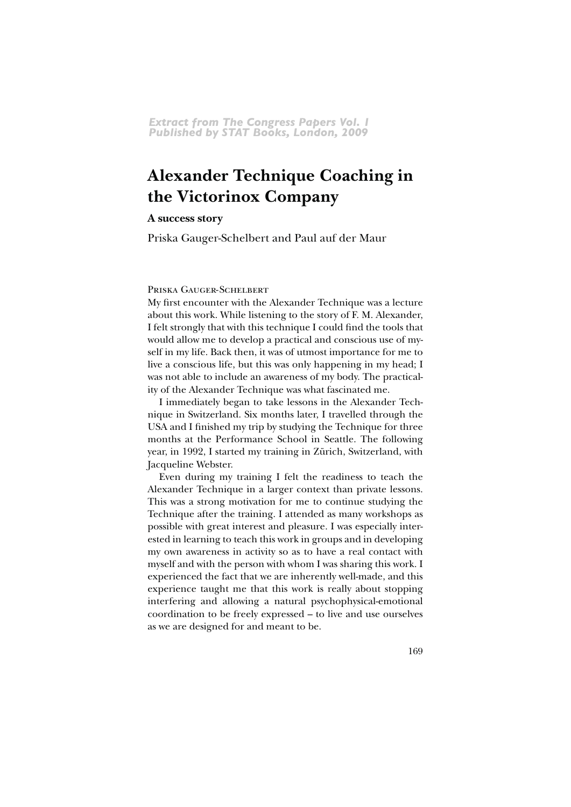# **Alexander Technique Coaching in** the Victorinox Company

# A success story

Priska Gauger-Schelbert and Paul auf der Maur

# PRISKA GAUGER-SCHELBERT

My first encounter with the Alexander Technique was a lecture about this work. While listening to the story of F. M. Alexander, I felt strongly that with this technique I could find the tools that would allow me to develop a practical and conscious use of myself in my life. Back then, it was of utmost importance for me to live a conscious life, but this was only happening in my head; I was not able to include an awareness of my body. The practicality of the Alexander Technique was what fascinated me.

I immediately began to take lessons in the Alexander Technique in Switzerland. Six months later, I travelled through the USA and I finished my trip by studying the Technique for three months at the Performance School in Seattle. The following year, in 1992, I started my training in Zürich, Switzerland, with Jacqueline Webster.

Even during my training I felt the readiness to teach the Alexander Technique in a larger context than private lessons. This was a strong motivation for me to continue studying the Technique after the training. I attended as many workshops as possible with great interest and pleasure. I was especially interested in learning to teach this work in groups and in developing my own awareness in activity so as to have a real contact with myself and with the person with whom I was sharing this work. I experienced the fact that we are inherently well-made, and this experience taught me that this work is really about stopping interfering and allowing a natural psychophysical-emotional coordination to be freely expressed - to live and use ourselves as we are designed for and meant to be.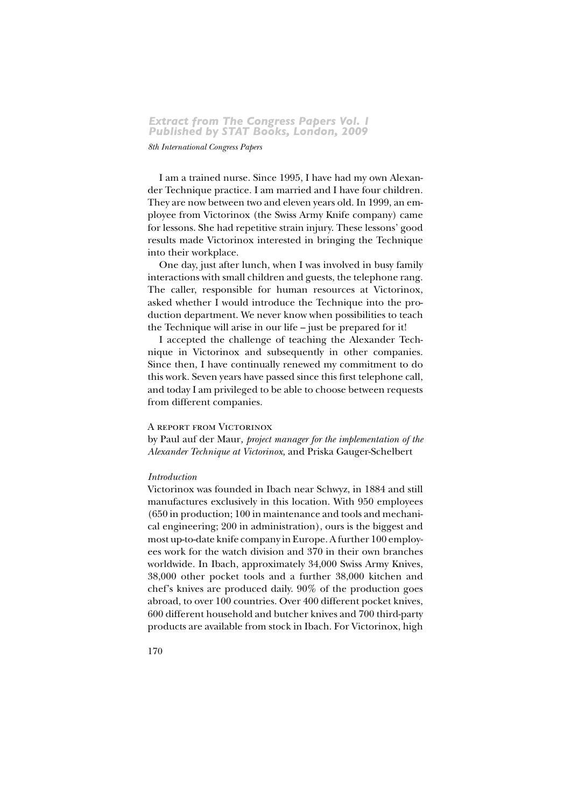#### 8th International Congress Papers

I am a trained nurse. Since 1995, I have had my own Alexander Technique practice. I am married and I have four children. They are now between two and eleven years old. In 1999, an employee from Victorinox (the Swiss Army Knife company) came for lessons. She had repetitive strain injury. These lessons' good results made Victorinox interested in bringing the Technique into their workplace.

One day, just after lunch, when I was involved in busy family interactions with small children and guests, the telephone rang. The caller, responsible for human resources at Victorinox, asked whether I would introduce the Technique into the production department. We never know when possibilities to teach the Technique will arise in our life - just be prepared for it!

I accepted the challenge of teaching the Alexander Technique in Victorinox and subsequently in other companies. Since then, I have continually renewed my commitment to do this work. Seven years have passed since this first telephone call, and today I am privileged to be able to choose between requests from different companies.

#### A REPORT FROM VICTORINOX

by Paul auf der Maur, project manager for the implementation of the Alexander Technique at Victorinox, and Priska Gauger-Schelbert

# Introduction

Victorinox was founded in Ibach near Schwyz, in 1884 and still manufactures exclusively in this location. With 950 employees (650 in production; 100 in maintenance and tools and mechanical engineering; 200 in administration), ours is the biggest and most up-to-date knife company in Europe. A further 100 employees work for the watch division and 370 in their own branches worldwide. In Ibach, approximately 34,000 Swiss Army Knives, 38,000 other pocket tools and a further 38,000 kitchen and chef's knives are produced daily.  $90\%$  of the production goes abroad, to over 100 countries. Over 400 different pocket knives, 600 different household and butcher knives and 700 third-party products are available from stock in Ibach. For Victorinox, high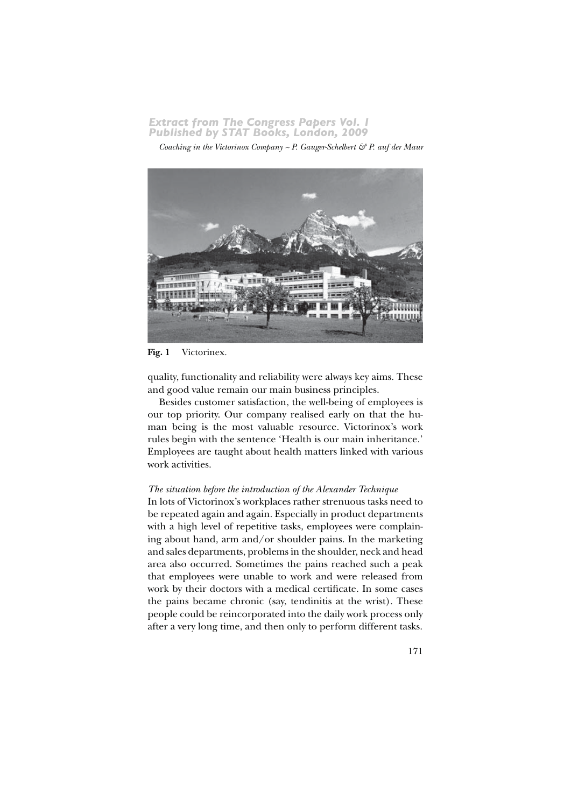*Coaching in the Victorinox Company* ~ *P. Gauger-Schelbert & P. auf der Maur* 



Fig. 1 Victorinex.

quality, functionality and reliability were always key aims. These and good value remain our main business principles.

Besides customer satisfaction, the well-being of employees is our top priority. Our company realised early on that the human being is the most valuable resource. Victorinox's work rules begin with the sentence 'Health is our main inheritance.' Employees are taught about health matters linked with various work activities.

#### *The situation before the introduction of the Alexander Technique*

In lots of Victorinox's workplaces rather strenuous tasks need to be repeated again and again. Especially in product departments with a high level of repetitive tasks, employees were complaining about hand, arm and/or shoulder pains. In the marketing and sales departments, problems in the shoulder, neck and head area also occurred. Sometimes the pains reached such a peak that employees were unable to work and were released from work by their doctors with a medical certificate. In some cases the pains became chronic (say, tendinitis at the wrist). These people could be reincorporated into the daily work process only after a very long time, and then only to perform different tasks.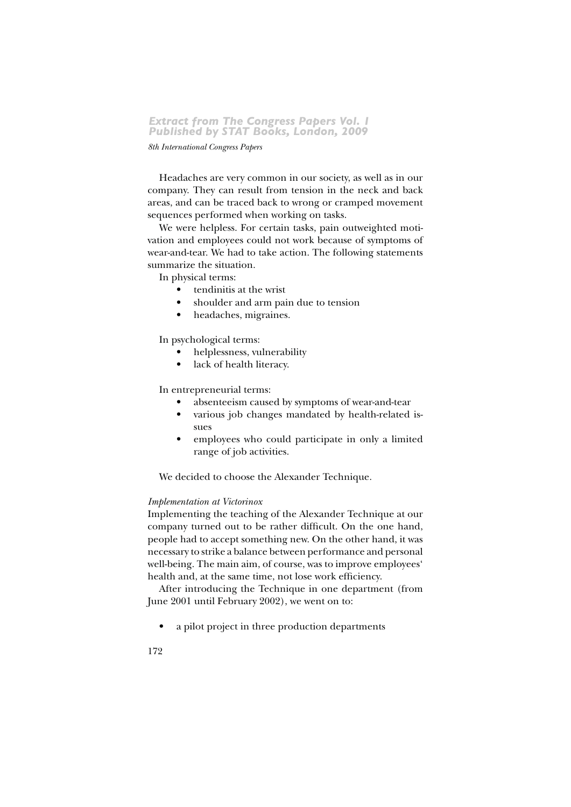#### 8th International Congress Papers

Headaches are very common in our society, as well as in our company. They can result from tension in the neck and back areas, and can be traced back to wrong or cramped movement sequences performed when working on tasks.

We were helpless. For certain tasks, pain outweighted motivation and employees could not work because of symptoms of wear-and-tear. We had to take action. The following statements summarize the situation.

In physical terms:

- tendinitis at the wrist
- shoulder and arm pain due to tension
- headaches, migraines.  $\bullet$

In psychological terms:

- helplessness, vulnerability
- lack of health literacy.

#### In entrepreneurial terms:

- absenteeism caused by symptoms of wear-and-tear
- various job changes mandated by health-related issues
- employees who could participate in only a limited  $\bullet$ range of job activities.

We decided to choose the Alexander Technique.

#### Implementation at Victorinox

Implementing the teaching of the Alexander Technique at our company turned out to be rather difficult. On the one hand, people had to accept something new. On the other hand, it was necessary to strike a balance between performance and personal well-being. The main aim, of course, was to improve employees' health and, at the same time, not lose work efficiency.

After introducing the Technique in one department (from June 2001 until February 2002), we went on to:

a pilot project in three production departments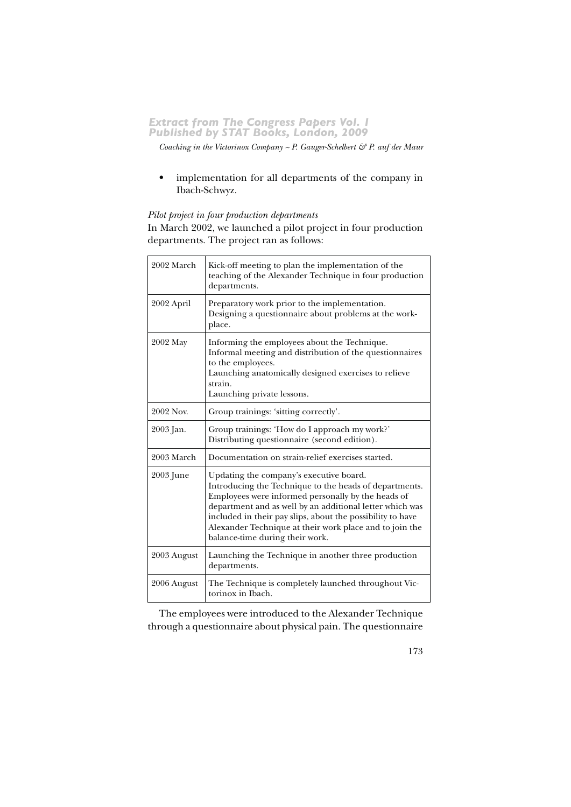*Coaching in the Victorinox Company* ~ P. Gauger-Schelbert & P. auf der Maur

• implementation for all departments of the company in Ibach-Schwyz.

# *Pilot project in four production departments*

In March 2002, we launched a pilot project in four production departments. The project ran as follows:

| 2002 March  | Kick-off meeting to plan the implementation of the<br>teaching of the Alexander Technique in four production<br>departments.                                                                                                                                                                                                                                                    |
|-------------|---------------------------------------------------------------------------------------------------------------------------------------------------------------------------------------------------------------------------------------------------------------------------------------------------------------------------------------------------------------------------------|
| 2002 April  | Preparatory work prior to the implementation.<br>Designing a questionnaire about problems at the work-<br>place.                                                                                                                                                                                                                                                                |
| 2002 May    | Informing the employees about the Technique.<br>Informal meeting and distribution of the questionnaires<br>to the employees.<br>Launching anatomically designed exercises to relieve<br>strain.<br>Launching private lessons.                                                                                                                                                   |
| 2002 Nov.   | Group trainings: 'sitting correctly'.                                                                                                                                                                                                                                                                                                                                           |
| 2003 Jan.   | Group trainings: 'How do I approach my work?'<br>Distributing questionnaire (second edition).                                                                                                                                                                                                                                                                                   |
| 2003 March  | Documentation on strain-relief exercises started.                                                                                                                                                                                                                                                                                                                               |
| 2003 June   | Updating the company's executive board.<br>Introducing the Technique to the heads of departments.<br>Employees were informed personally by the heads of<br>department and as well by an additional letter which was<br>included in their pay slips, about the possibility to have<br>Alexander Technique at their work place and to join the<br>balance-time during their work. |
| 2003 August | Launching the Technique in another three production<br>departments.                                                                                                                                                                                                                                                                                                             |
| 2006 August | The Technique is completely launched throughout Vic-<br>torinox in Ibach.                                                                                                                                                                                                                                                                                                       |

The employees were introduced to the Alexander Technique through a questionnaire about physical pain. The questionnaire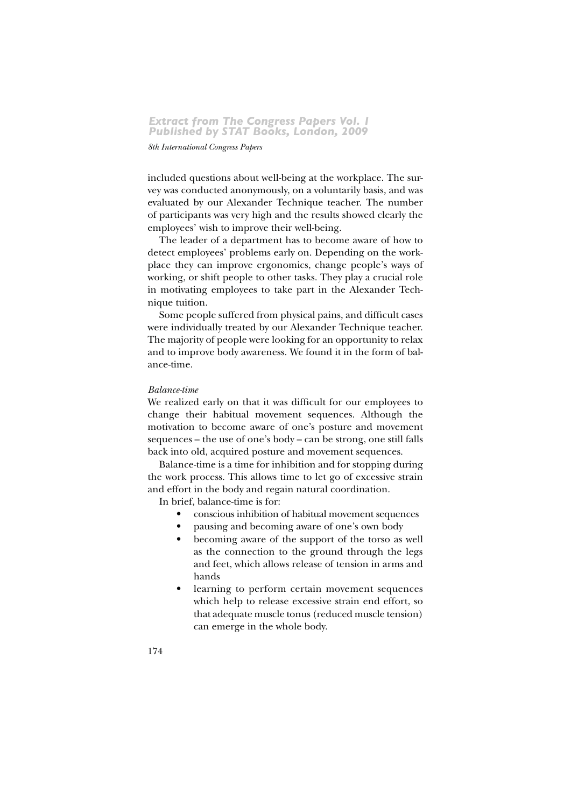#### $8th$  International Congress Papers

included questions about well-being at the workplace. The survey was conducted anonymously, on a voluntarily basis, and was evaluated by our Alexander Technique teacher. The number of participants was very high and the results showed clearly the employees' wish to improve their well-being.

The leader of a department has to become aware of how to detect employees' problems early on. Depending on the workplace they can improve ergonomics, change people's ways of working, or shift people to other tasks. They play a crucial role in motivating employees to take part in the Alexander Technique tuition.

Some people suffered from physical pains, and difficult cases were individually treated by our Alexander Technique teacher. The majority of people were looking for an opportunity to relax and to improve body awareness. We found it in the form of balance-time.

#### $Balance-time$

We realized early on that it was difficult for our employees to change their habitual movement sequences. Although the motivation to become aware of one's posture and movement  $sequences - the use of one's body - can be strong, one still falls$ back into old, acquired posture and movement sequences.

Balance-time is a time for inhibition and for stopping during the work process. This allows time to let go of excessive strain and effort in the body and regain natural coordination.

In brief, balance-time is for:

- conscious inhibition of habitual movement sequences
- pausing and becoming aware of one's own body
- becoming aware of the support of the torso as well as the connection to the ground through the legs and feet, which allows release of tension in arms and hands
- learning to perform certain movement sequences which help to release excessive strain end effort, so that adequate muscle tonus (reduced muscle tension) can emerge in the whole body.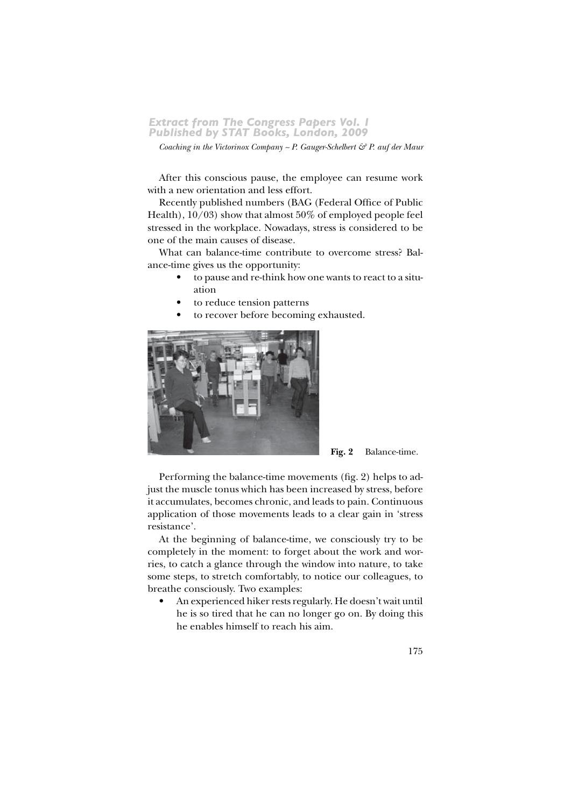Coaching in the Victorinox Company ~ P. Gauger-Schelbert  $\mathcal{C}$  P. auf der Maur

After this conscious pause, the employee can resume work with a new orientation and less effort.

Recently published numbers (BAG (Federal Office of Public Health),  $10/03$ ) show that almost 50% of employed people feel stressed in the workplace. Nowadays, stress is considered to be one of the main causes of disease.

What can balance-time contribute to overcome stress? Balance-time gives us the opportunity:

- to pause and re-think how one wants to react to a situation
- to reduce tension patterns
- to recover before becoming exhausted.



Fig. 2 Balance-time.

Performing the balance-time movements (fig. 2) helps to adjust the muscle tonus which has been increased by stress, before it accumulates, becomes chronic, and leads to pain. Continuous application of those movements leads to a clear gain in 'stress resistance'.

At the beginning of balance-time, we consciously try to be completely in the moment: to forget about the work and worries, to catch a glance through the window into nature, to take some steps, to stretch comfortably, to notice our colleagues, to breathe consciously. Two examples:

An experienced hiker rests regularly. He doesn't wait until he is so tired that he can no longer go on. By doing this he enables himself to reach his aim.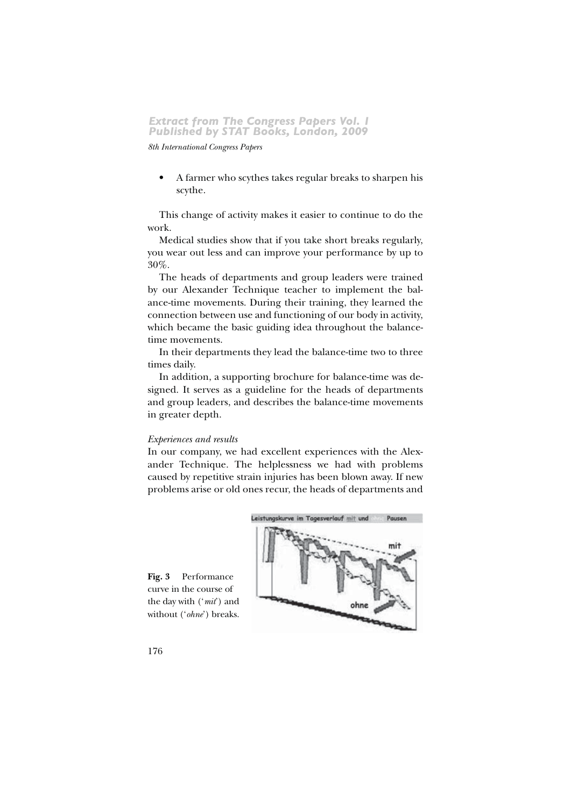8th International Congress Papers

A farmer who scythes takes regular breaks to sharpen his scythe.

This change of activity makes it easier to continue to do the work.

Medical studies show that if you take short breaks regularly, you wear out less and can improve your performance by up to 30%.

The heads of departments and group leaders were trained by our Alexander Technique teacher to implement the balance-time movements. During their training, they learned the connection between use and functioning of our body in activity, which became the basic guiding idea throughout the balancetime movements.

In their departments they lead the balance-time two to three times daily.

In addition, a supporting brochure for balance-time was designed. It serves as a guideline for the heads of departments and group leaders, and describes the balance-time movements in greater depth.

#### Experiences and results

In our company, we had excellent experiences with the Alexander Technique. The helplessness we had with problems caused by repetitive strain injuries has been blown away. If new problems arise or old ones recur, the heads of departments and



Fig. 3 Performance curve in the course of the day with ('mit') and without ('ohne') breaks.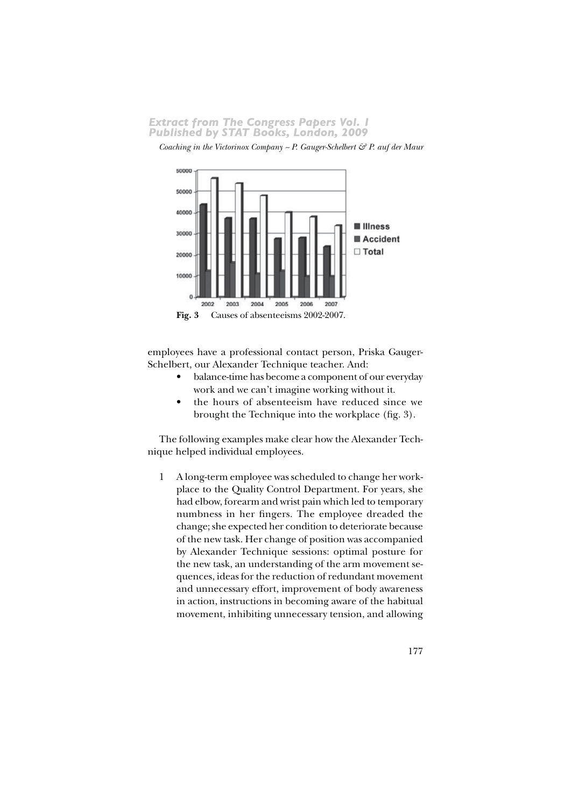Coaching in the Victorinox Company ~ P. Gauger-Schelbert & P. auf der Maur



employees have a professional contact person, Priska Gauger-Schelbert, our Alexander Technique teacher. And:

- balance-time has become a component of our everyday work and we can't imagine working without it.
- the hours of absenteeism have reduced since we brought the Technique into the workplace (fig. 3).

The following examples make clear how the Alexander Technique helped individual employees.

1 A long-term employee was scheduled to change her workplace to the Quality Control Department. For years, she had elbow, forearm and wrist pain which led to temporary numbness in her fingers. The employee dreaded the change; she expected her condition to deteriorate because of the new task. Her change of position was accompanied by Alexander Technique sessions: optimal posture for the new task, an understanding of the arm movement sequences, ideas for the reduction of redundant movement and unnecessary effort, improvement of body awareness in action, instructions in becoming aware of the habitual movement, inhibiting unnecessary tension, and allowing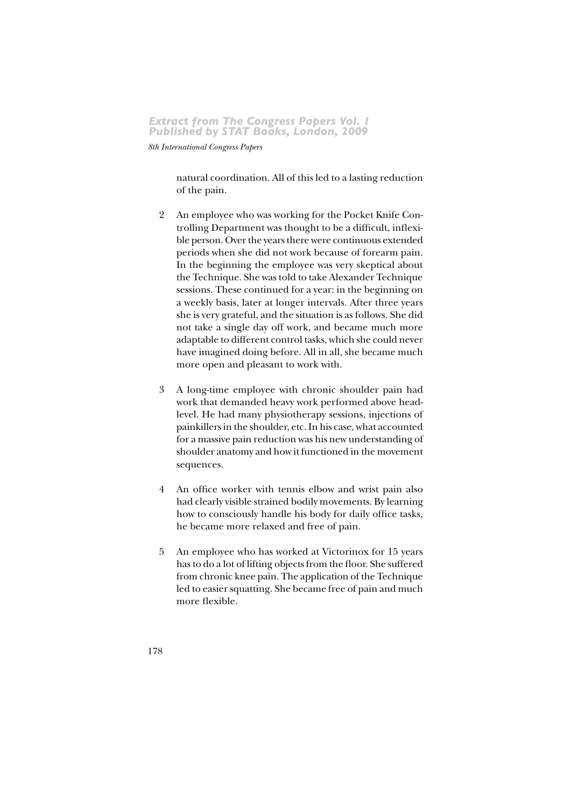8th International Congress Papers

natural coordination. All of this led to a lasting reduction of the pain.

- $\overline{2}$ An employee who was working for the Pocket Knife Controlling Department was thought to be a difficult, inflexible person. Over the years there were continuous extended periods when she did not work because of forearm pain. In the beginning the employee was very skeptical about the Technique. She was told to take Alexander Technique sessions. These continued for a year: in the beginning on a weekly basis, later at longer intervals. After three years she is very grateful, and the situation is as follows. She did not take a single day off work, and became much more adaptable to different control tasks, which she could never have imagined doing before. All in all, she became much more open and pleasant to work with.
- 3 A long-time employee with chronic shoulder pain had work that demanded heavy work performed above headlevel. He had many physiotherapy sessions, injections of painkillers in the shoulder, etc. In his case, what accounted for a massive pain reduction was his new understanding of shoulder anatomy and how it functioned in the movement sequences.
- $\overline{4}$ An office worker with tennis elbow and wrist pain also had clearly visible strained bodily movements. By learning how to consciously handle his body for daily office tasks, he became more relaxed and free of pain.
- An employee who has worked at Victorinox for 15 years  $\overline{5}$ has to do a lot of lifting objects from the floor. She suffered from chronic knee pain. The application of the Technique led to easier squatting. She became free of pain and much more flexible.